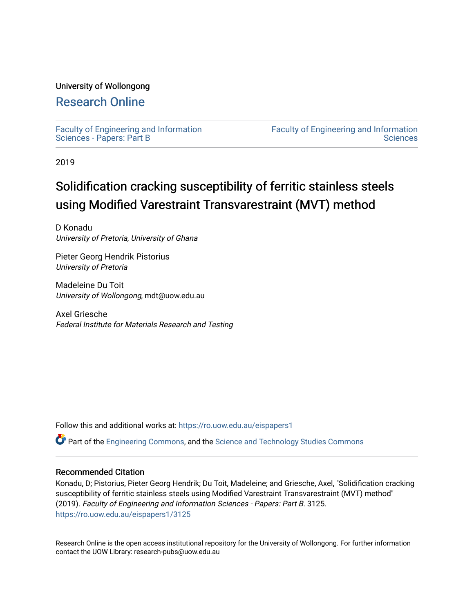## University of Wollongong

## [Research Online](https://ro.uow.edu.au/)

[Faculty of Engineering and Information](https://ro.uow.edu.au/eispapers1)  [Sciences - Papers: Part B](https://ro.uow.edu.au/eispapers1)

[Faculty of Engineering and Information](https://ro.uow.edu.au/eis)  **Sciences** 

2019

# Solidification cracking susceptibility of ferritic stainless steels using Modified Varestraint Transvarestraint (MVT) method

D Konadu University of Pretoria, University of Ghana

Pieter Georg Hendrik Pistorius University of Pretoria

Madeleine Du Toit University of Wollongong, mdt@uow.edu.au

Axel Griesche Federal Institute for Materials Research and Testing

Follow this and additional works at: [https://ro.uow.edu.au/eispapers1](https://ro.uow.edu.au/eispapers1?utm_source=ro.uow.edu.au%2Feispapers1%2F3125&utm_medium=PDF&utm_campaign=PDFCoverPages) 

Part of the [Engineering Commons](http://network.bepress.com/hgg/discipline/217?utm_source=ro.uow.edu.au%2Feispapers1%2F3125&utm_medium=PDF&utm_campaign=PDFCoverPages), and the [Science and Technology Studies Commons](http://network.bepress.com/hgg/discipline/435?utm_source=ro.uow.edu.au%2Feispapers1%2F3125&utm_medium=PDF&utm_campaign=PDFCoverPages)

## Recommended Citation

Konadu, D; Pistorius, Pieter Georg Hendrik; Du Toit, Madeleine; and Griesche, Axel, "Solidification cracking susceptibility of ferritic stainless steels using Modified Varestraint Transvarestraint (MVT) method" (2019). Faculty of Engineering and Information Sciences - Papers: Part B. 3125. [https://ro.uow.edu.au/eispapers1/3125](https://ro.uow.edu.au/eispapers1/3125?utm_source=ro.uow.edu.au%2Feispapers1%2F3125&utm_medium=PDF&utm_campaign=PDFCoverPages)

Research Online is the open access institutional repository for the University of Wollongong. For further information contact the UOW Library: research-pubs@uow.edu.au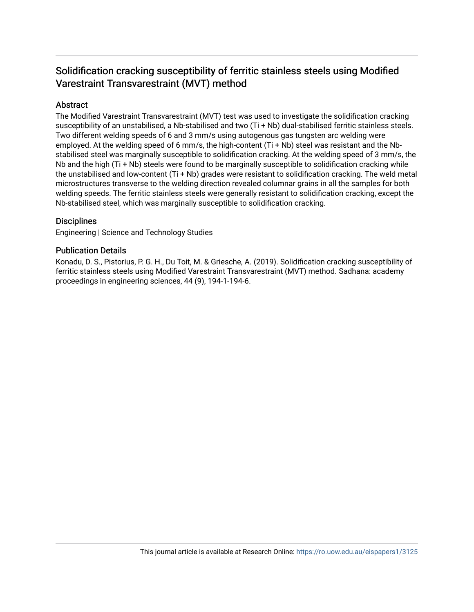## Solidification cracking susceptibility of ferritic stainless steels using Modified Varestraint Transvarestraint (MVT) method

## Abstract

The Modified Varestraint Transvarestraint (MVT) test was used to investigate the solidification cracking susceptibility of an unstabilised, a Nb-stabilised and two (Ti + Nb) dual-stabilised ferritic stainless steels. Two different welding speeds of 6 and 3 mm/s using autogenous gas tungsten arc welding were employed. At the welding speed of 6 mm/s, the high-content  $(Ti + Nb)$  steel was resistant and the Nbstabilised steel was marginally susceptible to solidification cracking. At the welding speed of 3 mm/s, the Nb and the high (Ti + Nb) steels were found to be marginally susceptible to solidification cracking while the unstabilised and low-content (Ti + Nb) grades were resistant to solidification cracking. The weld metal microstructures transverse to the welding direction revealed columnar grains in all the samples for both welding speeds. The ferritic stainless steels were generally resistant to solidification cracking, except the Nb-stabilised steel, which was marginally susceptible to solidification cracking.

## **Disciplines**

Engineering | Science and Technology Studies

## Publication Details

Konadu, D. S., Pistorius, P. G. H., Du Toit, M. & Griesche, A. (2019). Solidification cracking susceptibility of ferritic stainless steels using Modified Varestraint Transvarestraint (MVT) method. Sadhana: academy proceedings in engineering sciences, 44 (9), 194-1-194-6.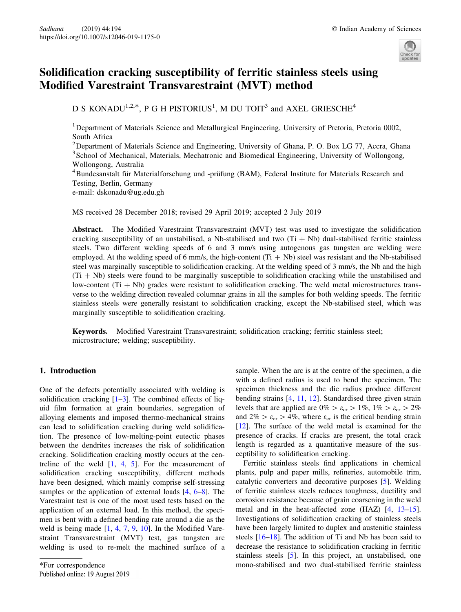

## Solidification cracking susceptibility of ferritic stainless steels using Modified Varestraint Transvarestraint (MVT) method

D S KONADU<sup>1,2,\*</sup>, P G H PISTORIUS<sup>1</sup>, M DU TOIT<sup>3</sup> and AXEL GRIESCHE<sup>4</sup>

<sup>1</sup>Department of Materials Science and Metallurgical Engineering, University of Pretoria, Pretoria 0002, South Africa

<sup>2</sup> Department of Materials Science and Engineering, University of Ghana, P. O. Box LG 77, Accra, Ghana <sup>3</sup> School of Mechanical, Materials, Mechatronic and Biomedical Engineering, University of Wollongong, Wollongong, Australia

<sup>4</sup> Bundesanstalt für Materialforschung und -prüfung (BAM), Federal Institute for Materials Research and Testing, Berlin, Germany

e-mail: dskonadu@ug.edu.gh

MS received 28 December 2018; revised 29 April 2019; accepted 2 July 2019

Abstract. The Modified Varestraint Transvarestraint (MVT) test was used to investigate the solidification cracking susceptibility of an unstabilised, a Nb-stabilised and two  $(Ti + Nb)$  dual-stabilised ferritic stainless steels. Two different welding speeds of 6 and 3 mm/s using autogenous gas tungsten arc welding were employed. At the welding speed of 6 mm/s, the high-content  $(Ti + Nb)$  steel was resistant and the Nb-stabilised steel was marginally susceptible to solidification cracking. At the welding speed of 3 mm/s, the Nb and the high  $(Ti + Nb)$  steels were found to be marginally susceptible to solidification cracking while the unstabilised and low-content  $(Ti + Nb)$  grades were resistant to solidification cracking. The weld metal microstructures transverse to the welding direction revealed columnar grains in all the samples for both welding speeds. The ferritic stainless steels were generally resistant to solidification cracking, except the Nb-stabilised steel, which was marginally susceptible to solidification cracking.

Keywords. Modified Varestraint Transvarestraint; solidification cracking; ferritic stainless steel; microstructure; welding; susceptibility.

#### 1. Introduction

One of the defects potentially associated with welding is solidification cracking  $[1-3]$ . The combined effects of liquid film formation at grain boundaries, segregation of alloying elements and imposed thermo-mechanical strains can lead to solidification cracking during weld solidification. The presence of low-melting-point eutectic phases between the dendrites increases the risk of solidification cracking. Solidification cracking mostly occurs at the centreline of the weld  $[1, 4, 5]$  $[1, 4, 5]$  $[1, 4, 5]$  $[1, 4, 5]$  $[1, 4, 5]$  $[1, 4, 5]$  $[1, 4, 5]$ . For the measurement of solidification cracking susceptibility, different methods have been designed, which mainly comprise self-stressing samples or the application of external loads [\[4](#page-7-0), [6–8](#page-7-0)]. The Varestraint test is one of the most used tests based on the application of an external load. In this method, the specimen is bent with a defined bending rate around a die as the weld is being made [[1,](#page-7-0) [4,](#page-7-0) [7,](#page-7-0) [9](#page-7-0), [10](#page-7-0)]. In the Modified Varestraint Transvarestraint (MVT) test, gas tungsten arc welding is used to re-melt the machined surface of a

sample. When the arc is at the centre of the specimen, a die with a defined radius is used to bend the specimen. The specimen thickness and the die radius produce different bending strains [[4,](#page-7-0) [11,](#page-7-0) [12](#page-7-0)]. Standardised three given strain levels that are applied are  $0\% > \varepsilon_{cr} > 1\%$ ,  $1\% > \varepsilon_{cr} > 2\%$ and  $2\% > \varepsilon_{cr} > 4\%$ , where  $\varepsilon_{cr}$  is the critical bending strain [\[12](#page-7-0)]. The surface of the weld metal is examined for the presence of cracks. If cracks are present, the total crack length is regarded as a quantitative measure of the susceptibility to solidification cracking.

Ferritic stainless steels find applications in chemical plants, pulp and paper mills, refineries, automobile trim, catalytic converters and decorative purposes [\[5](#page-7-0)]. Welding of ferritic stainless steels reduces toughness, ductility and corrosion resistance because of grain coarsening in the weld metal and in the heat-affected zone (HAZ) [[4,](#page-7-0) [13–15](#page-7-0)]. Investigations of solidification cracking of stainless steels have been largely limited to duplex and austenitic stainless steels [\[16–18](#page-7-0)]. The addition of Ti and Nb has been said to decrease the resistance to solidification cracking in ferritic stainless steels [[5\]](#page-7-0). In this project, an unstabilised, one \*For correspondence mono-stabilised and two dual-stabilised ferritic stainless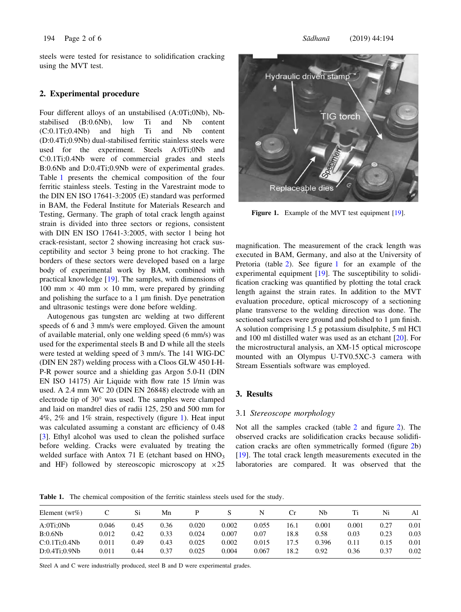<span id="page-3-0"></span>steels were tested for resistance to solidification cracking using the MVT test.

#### 2. Experimental procedure

Four different alloys of an unstabilised (A:0Ti;0Nb), Nbstabilised (B:0.6Nb), low Ti and Nb content (C:0.1Ti;0.4Nb) and high Ti and Nb content (D:0.4Ti;0.9Nb) dual-stabilised ferritic stainless steels were used for the experiment. Steels A:0Ti;0Nb and C:0.1Ti;0.4Nb were of commercial grades and steels B:0.6Nb and D:0.4Ti;0.9Nb were of experimental grades. Table 1 presents the chemical composition of the four ferritic stainless steels. Testing in the Varestraint mode to the DIN EN ISO 17641-3:2005 (E) standard was performed in BAM, the Federal Institute for Materials Research and Testing, Germany. The graph of total crack length against strain is divided into three sectors or regions, consistent with DIN EN ISO 17641-3:2005, with sector 1 being hot crack-resistant, sector 2 showing increasing hot crack susceptibility and sector 3 being prone to hot cracking. The borders of these sectors were developed based on a large body of experimental work by BAM, combined with practical knowledge [[19\]](#page-7-0). The samples, with dimensions of 100 mm  $\times$  40 mm  $\times$  10 mm, were prepared by grinding and polishing the surface to a  $1 \mu m$  finish. Dye penetration and ultrasonic testings were done before welding.

Autogenous gas tungsten arc welding at two different speeds of 6 and 3 mm/s were employed. Given the amount of available material, only one welding speed (6 mm/s) was used for the experimental steels B and D while all the steels were tested at welding speed of 3 mm/s. The 141 WIG-DC (DIN EN 287) welding process with a Cloos GLW 450 I-H-P-R power source and a shielding gas Argon 5.0-I1 (DIN EN ISO 14175) Air Liquide with flow rate 15 l/min was used. A 2.4 mm WC 20 (DIN EN 26848) electrode with an electrode tip of  $30^{\circ}$  was used. The samples were clamped and laid on mandrel dies of radii 125, 250 and 500 mm for 4%, 2% and 1% strain, respectively (figure 1). Heat input was calculated assuming a constant arc efficiency of 0.48 [\[3](#page-7-0)]. Ethyl alcohol was used to clean the polished surface before welding. Cracks were evaluated by treating the welded surface with Antox 71 E (etchant based on HNO<sub>3</sub> and HF) followed by stereoscopic microscopy at  $\times 25$ 



Figure 1. Example of the MVT test equipment [[19\]](#page-7-0).

magnification. The measurement of the crack length was executed in BAM, Germany, and also at the University of Pretoria (table [2\)](#page-4-0). See figure 1 for an example of the experimental equipment [[19](#page-7-0)]. The susceptibility to solidification cracking was quantified by plotting the total crack length against the strain rates. In addition to the MVT evaluation procedure, optical microscopy of a sectioning plane transverse to the welding direction was done. The sectioned surfaces were ground and polished to 1 µm finish. A solution comprising 1.5 g potassium disulphite, 5 ml HCl and 100 ml distilled water was used as an etchant [[20\]](#page-7-0). For the microstructural analysis, an XM-15 optical microscope mounted with an Olympus U-TV0.5XC-3 camera with Stream Essentials software was employed.

### 3. Results

#### 3.1 Stereoscope morphology

Not all the samples cracked (table [2](#page-4-0) and figure [2\)](#page-4-0). The observed cracks are solidification cracks because solidification cracks are often symmetrically formed (figure [2b](#page-4-0)) [\[19](#page-7-0)]. The total crack length measurements executed in the laboratories are compared. It was observed that the

Table 1. The chemical composition of the ferritic stainless steels used for the study.

| Element ( $wt\%$ ) |       | Si   | Mn   |       |       |       | Сr    | Nh    |       | Ni   | Al   |
|--------------------|-------|------|------|-------|-------|-------|-------|-------|-------|------|------|
| A:0Ti:0Nb          | 0.046 | 0.45 | 0.36 | 0.020 | 0.002 | 0.055 | 16.1  | 0.001 | 0.001 | 0.27 | 0.01 |
| B:0.6Nb            | 0.012 | 0.42 | 0.33 | 0.024 | 0.007 | 0.07  | 18.8  | 0.58  | 0.03  | 0.23 | 0.03 |
| C:0.1Ti:0.4Nb      | 0.011 | 0.49 | 0.43 | 0.025 | 0.002 | 0.015 | l 7.5 | 0.396 | 0.11  | 0.15 | 0.01 |
| D:0.4Ti:0.9Nb      | 0.011 | 0.44 | 0.37 | 0.025 | 0.004 | 0.067 | 18.2  | 0.92  | 0.36  | 0.37 | 0.02 |

Steel A and C were industrially produced, steel B and D were experimental grades.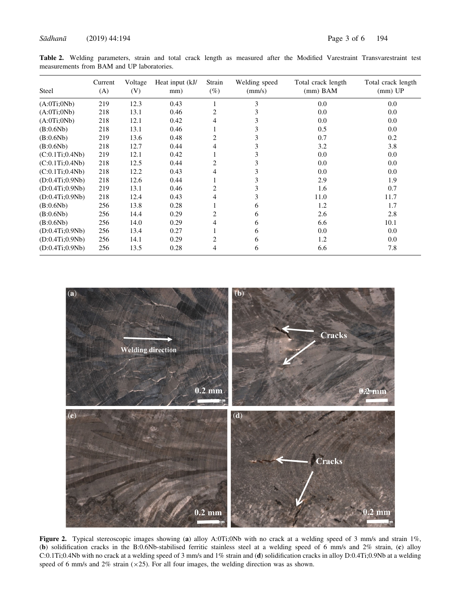<span id="page-4-0"></span>Table 2. Welding parameters, strain and total crack length as measured after the Modified Varestraint Transvarestraint test measurements from BAM and UP laboratories.

| Steel           | Current<br>(A) | Voltage<br>(V) | Heat input (kJ/<br>mm) | Strain<br>$(\%)$ | Welding speed<br>(mm/s) | Total crack length<br>$(mm)$ BAM | Total crack length<br>$(mm)$ UP |
|-----------------|----------------|----------------|------------------------|------------------|-------------------------|----------------------------------|---------------------------------|
| (A:0Ti:0Nb)     | 219            | 12.3           | 0.43                   |                  | 3                       | 0.0                              | 0.0                             |
| (A:0Ti:0Nb)     | 218            | 13.1           | 0.46                   | 2                | 3                       | 0.0                              | 0.0                             |
| (A:0Ti:0Nb)     | 218            | 12.1           | 0.42                   | 4                | 3                       | 0.0                              | 0.0                             |
| (B:0.6Nb)       | 218            | 13.1           | 0.46                   |                  | 3                       | 0.5                              | 0.0                             |
| (B:0.6Nb)       | 219            | 13.6           | 0.48                   | 2                | 3                       | 0.7                              | 0.2                             |
| (B:0.6Nb)       | 218            | 12.7           | 0.44                   | 4                | 3                       | 3.2                              | 3.8                             |
| (C:0.1Ti;0.4Nb) | 219            | 12.1           | 0.42                   |                  | 3                       | 0.0                              | 0.0                             |
| (C:0.1Ti;0.4Nb) | 218            | 12.5           | 0.44                   | 2                | 3                       | 0.0                              | 0.0                             |
| (C:0.1Ti:0.4Nb) | 218            | 12.2           | 0.43                   | 4                | 3                       | 0.0                              | 0.0                             |
| (D:0.4Ti:0.9Nb) | 218            | 12.6           | 0.44                   |                  | 3                       | 2.9                              | 1.9                             |
| (D:0.4Ti:0.9Nb) | 219            | 13.1           | 0.46                   | 2                | 3                       | 1.6                              | 0.7                             |
| (D:0.4Ti:0.9Nb) | 218            | 12.4           | 0.43                   | 4                | 3                       | 11.0                             | 11.7                            |
| (B:0.6Nb)       | 256            | 13.8           | 0.28                   |                  | 6                       | 1.2                              | 1.7                             |
| (B:0.6Nb)       | 256            | 14.4           | 0.29                   | 2                | 6                       | 2.6                              | 2.8                             |
| (B:0.6Nb)       | 256            | 14.0           | 0.29                   | 4                | 6                       | 6.6                              | 10.1                            |
| (D:0.4Ti:0.9Nb) | 256            | 13.4           | 0.27                   |                  | 6                       | 0.0                              | 0.0                             |
| (D:0.4Ti:0.9Nb) | 256            | 14.1           | 0.29                   | 2                | 6                       | 1.2                              | $0.0\,$                         |
| (D:0.4Ti:0.9Nb) | 256            | 13.5           | 0.28                   | 4                | 6                       | 6.6                              | 7.8                             |



Figure 2. Typical stereoscopic images showing (a) alloy A:0Ti;0Nb with no crack at a welding speed of 3 mm/s and strain 1%, (b) solidification cracks in the B:0.6Nb-stabilised ferritic stainless steel at a welding speed of 6 mm/s and 2% strain, (c) alloy C:0.1Ti;0.4Nb with no crack at a welding speed of 3 mm/s and 1% strain and (d) solidification cracks in alloy D:0.4Ti;0.9Nb at a welding speed of 6 mm/s and 2% strain  $(x25)$ . For all four images, the welding direction was as shown.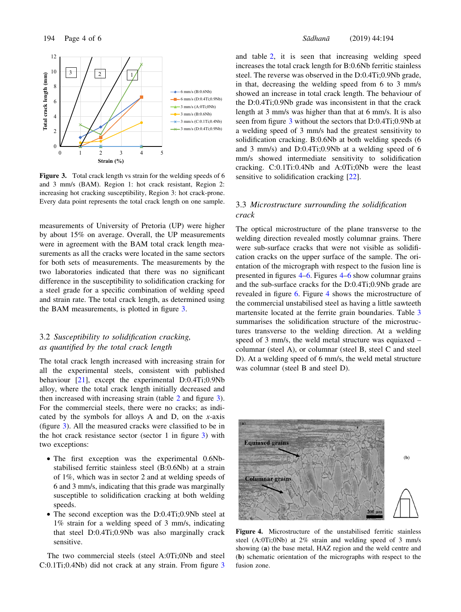<span id="page-5-0"></span>

Figure 3. Total crack length vs strain for the welding speeds of 6 and 3 mm/s (BAM). Region 1: hot crack resistant, Region 2: increasing hot cracking susceptibility, Region 3: hot crack-prone. Every data point represents the total crack length on one sample.

measurements of University of Pretoria (UP) were higher by about 15% on average. Overall, the UP measurements were in agreement with the BAM total crack length measurements as all the cracks were located in the same sectors for both sets of measurements. The measurements by the two laboratories indicated that there was no significant difference in the susceptibility to solidification cracking for a steel grade for a specific combination of welding speed and strain rate. The total crack length, as determined using the BAM measurements, is plotted in figure 3.

### 3.2 Susceptibility to solidification cracking, as quantified by the total crack length

The total crack length increased with increasing strain for all the experimental steels, consistent with published behaviour [[21](#page-7-0)], except the experimental D:0.4Ti;0.9Nb alloy, where the total crack length initially decreased and then increased with increasing strain (table [2](#page-4-0) and figure 3). For the commercial steels, there were no cracks; as indicated by the symbols for alloys A and D, on the  $x$ -axis (figure 3). All the measured cracks were classified to be in the hot crack resistance sector (sector 1 in figure 3) with two exceptions:

- The first exception was the experimental 0.6Nbstabilised ferritic stainless steel (B:0.6Nb) at a strain of 1%, which was in sector 2 and at welding speeds of 6 and 3 mm/s, indicating that this grade was marginally susceptible to solidification cracking at both welding speeds.
- The second exception was the D:0.4Ti;0.9Nb steel at 1% strain for a welding speed of 3 mm/s, indicating that steel D:0.4Ti;0.9Nb was also marginally crack sensitive.

The two commercial steels (steel A:0Ti;0Nb and steel C:0.1Ti;0.4Nb) did not crack at any strain. From figure 3 and table [2,](#page-4-0) it is seen that increasing welding speed increases the total crack length for B:0.6Nb ferritic stainless steel. The reverse was observed in the D:0.4Ti;0.9Nb grade, in that, decreasing the welding speed from 6 to 3 mm/s showed an increase in total crack length. The behaviour of the D:0.4Ti;0.9Nb grade was inconsistent in that the crack length at 3 mm/s was higher than that at 6 mm/s. It is also seen from figure 3 without the sectors that D:0.4Ti;0.9Nb at a welding speed of 3 mm/s had the greatest sensitivity to solidification cracking. B:0.6Nb at both welding speeds (6 and 3 mm/s) and D:0.4Ti;0.9Nb at a welding speed of 6 mm/s showed intermediate sensitivity to solidification cracking. C:0.1Ti:0.4Nb and A:0Ti;0Nb were the least sensitive to solidification cracking [[22\]](#page-7-0).

### 3.3 Microstructure surrounding the solidification crack

The optical microstructure of the plane transverse to the welding direction revealed mostly columnar grains. There were sub-surface cracks that were not visible as solidification cracks on the upper surface of the sample. The orientation of the micrograph with respect to the fusion line is presented in figures 4–[6.](#page-6-0) Figures 4[–6](#page-6-0) show columnar grains and the sub-surface cracks for the D:0.4Ti;0.9Nb grade are revealed in figure [6](#page-6-0). Figure 4 shows the microstructure of the commercial unstabilised steel as having a little sawteeth martensite located at the ferrite grain boundaries. Table [3](#page-6-0) summarises the solidification structure of the microstructures transverse to the welding direction. At a welding speed of 3 mm/s, the weld metal structure was equiaxed – columnar (steel A), or columnar (steel B, steel C and steel D). At a welding speed of 6 mm/s, the weld metal structure was columnar (steel B and steel D).



Figure 4. Microstructure of the unstabilised ferritic stainless steel (A:0Ti;0Nb) at 2% strain and welding speed of 3 mm/s showing (a) the base metal, HAZ region and the weld centre and (b) schematic orientation of the micrographs with respect to the fusion zone.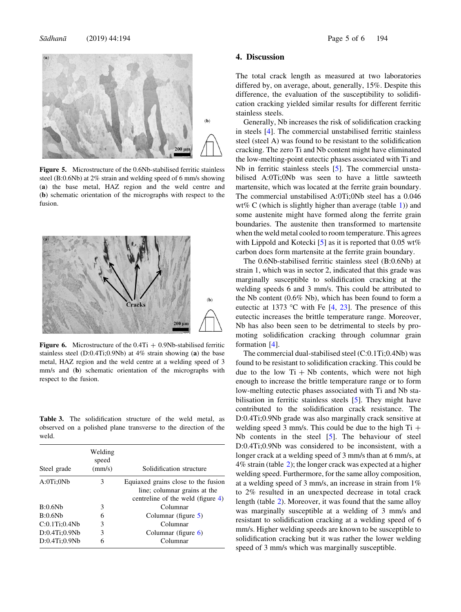<span id="page-6-0"></span>

Figure 5. Microstructure of the 0.6Nb-stabilised ferritic stainless steel (B:0.6Nb) at 2% strain and welding speed of 6 mm/s showing (a) the base metal, HAZ region and the weld centre and (b) schematic orientation of the micrographs with respect to the fusion.



**Figure 6.** Microstructure of the  $0.4Ti + 0.9Nb$ -stabilised ferritic stainless steel (D:0.4Ti;0.9Nb) at 4% strain showing (a) the base metal, HAZ region and the weld centre at a welding speed of 3 mm/s and (b) schematic orientation of the micrographs with respect to the fusion.

Table 3. The solidification structure of the weld metal, as observed on a polished plane transverse to the direction of the weld.

| Steel grade   | Welding<br>speed<br>(mm/s) | Solidification structure                                            |
|---------------|----------------------------|---------------------------------------------------------------------|
| A:0Ti:0Nb     | 3                          | Equiaxed grains close to the fusion<br>line; columnar grains at the |
|               |                            | centreline of the weld (figure $4$ )                                |
| B:0.6Nb       | 3                          | Columnar                                                            |
| B:0.6Nb       | 6                          | Columnar (figure $5$ )                                              |
| C:0.1Ti:0.4Nb | 3                          | Columnar                                                            |
| D:0.4Ti:0.9Nb | 3                          | Columnar (figure $6$ )                                              |
| D:0.4Ti:0.9Nb | 6                          | Columnar                                                            |

#### 4. Discussion

The total crack length as measured at two laboratories differed by, on average, about, generally, 15%. Despite this difference, the evaluation of the susceptibility to solidification cracking yielded similar results for different ferritic stainless steels.

Generally, Nb increases the risk of solidification cracking in steels [[4\]](#page-7-0). The commercial unstabilised ferritic stainless steel (steel A) was found to be resistant to the solidification cracking. The zero Ti and Nb content might have eliminated the low-melting-point eutectic phases associated with Ti and Nb in ferritic stainless steels [\[5](#page-7-0)]. The commercial unstabilised A:0Ti;0Nb was seen to have a little sawteeth martensite, which was located at the ferrite grain boundary. The commercial unstabilised A:0Ti;0Nb steel has a 0.046 wt% C (which is slightly higher than average (table [1](#page-3-0))) and some austenite might have formed along the ferrite grain boundaries. The austenite then transformed to martensite when the weld metal cooled to room temperature. This agrees with Lippold and Kotecki [[5\]](#page-7-0) as it is reported that  $0.05 \text{ wt\%}$ carbon does form martensite at the ferrite grain boundary.

The 0.6Nb-stabilised ferritic stainless steel (B:0.6Nb) at strain 1, which was in sector 2, indicated that this grade was marginally susceptible to solidification cracking at the welding speeds 6 and 3 mm/s. This could be attributed to the Nb content (0.6% Nb), which has been found to form a eutectic at 1373 °C with Fe  $[4, 23]$  $[4, 23]$  $[4, 23]$  $[4, 23]$  $[4, 23]$ . The presence of this eutectic increases the brittle temperature range. Moreover, Nb has also been seen to be detrimental to steels by promoting solidification cracking through columnar grain formation [[4\]](#page-7-0).

The commercial dual-stabilised steel (C:0.1Ti;0.4Nb) was found to be resistant to solidification cracking. This could be due to the low  $Ti + Nb$  contents, which were not high enough to increase the brittle temperature range or to form low-melting eutectic phases associated with Ti and Nb stabilisation in ferritic stainless steels [[5\]](#page-7-0). They might have contributed to the solidification crack resistance. The D:0.4Ti;0.9Nb grade was also marginally crack sensitive at welding speed 3 mm/s. This could be due to the high  $Ti +$ Nb contents in the steel [[5\]](#page-7-0). The behaviour of steel D:0.4Ti;0.9Nb was considered to be inconsistent, with a longer crack at a welding speed of 3 mm/s than at 6 mm/s, at 4% strain (table [2](#page-4-0)); the longer crack was expected at a higher welding speed. Furthermore, for the same alloy composition, at a welding speed of 3 mm/s, an increase in strain from 1% to 2% resulted in an unexpected decrease in total crack length (table [2\)](#page-4-0). Moreover, it was found that the same alloy was marginally susceptible at a welding of 3 mm/s and resistant to solidification cracking at a welding speed of 6 mm/s. Higher welding speeds are known to be susceptible to solidification cracking but it was rather the lower welding speed of 3 mm/s which was marginally susceptible.